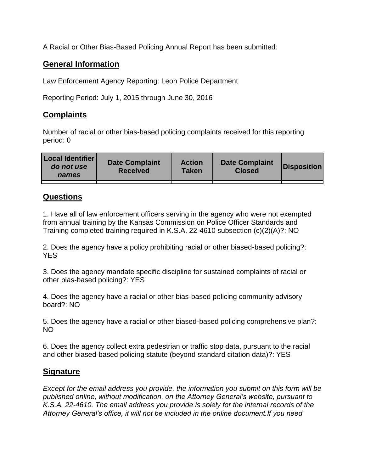A Racial or Other Bias-Based Policing Annual Report has been submitted:

## **General Information**

Law Enforcement Agency Reporting: Leon Police Department

Reporting Period: July 1, 2015 through June 30, 2016

## **Complaints**

Number of racial or other bias-based policing complaints received for this reporting period: 0

| <b>Local Identifier</b><br>do not use<br>names | <b>Date Complaint</b><br><b>Received</b> | <b>Action</b><br><b>Taken</b> | <b>Date Complaint</b><br><b>Closed</b> | Disposition |
|------------------------------------------------|------------------------------------------|-------------------------------|----------------------------------------|-------------|
|                                                |                                          |                               |                                        |             |

## **Questions**

1. Have all of law enforcement officers serving in the agency who were not exempted from annual training by the Kansas Commission on Police Officer Standards and Training completed training required in K.S.A. 22-4610 subsection (c)(2)(A)?: NO

2. Does the agency have a policy prohibiting racial or other biased-based policing?: YES

3. Does the agency mandate specific discipline for sustained complaints of racial or other bias-based policing?: YES

4. Does the agency have a racial or other bias-based policing community advisory board?: NO

5. Does the agency have a racial or other biased-based policing comprehensive plan?: NO

6. Does the agency collect extra pedestrian or traffic stop data, pursuant to the racial and other biased-based policing statute (beyond standard citation data)?: YES

## **Signature**

*Except for the email address you provide, the information you submit on this form will be published online, without modification, on the Attorney General's website, pursuant to K.S.A. 22-4610. The email address you provide is solely for the internal records of the Attorney General's office, it will not be included in the online document.If you need*